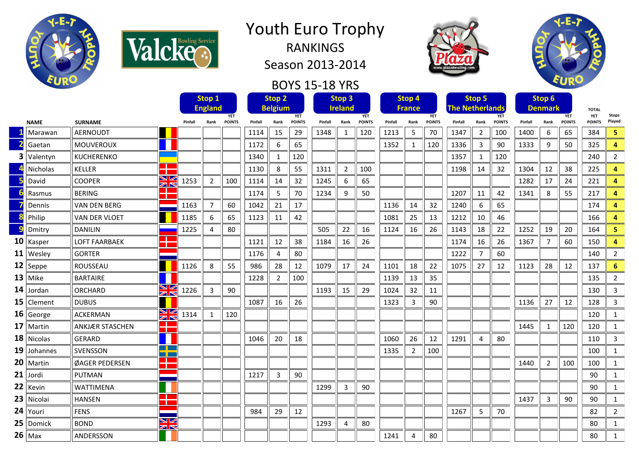

Valcke<sup>s</sup>

## Youth Euro Trophy

RANKINGS Season 2013-2014

## BOYS 15-18 YRS





|                  |                                                 |         | Stop 1<br><b>England</b><br><b>YET</b> |               |         | Stop <sub>2</sub><br><b>Belgium</b><br><b>YET</b> |                                        |      | Stop <sub>3</sub><br><b>Ireland</b><br><b>YET</b> |               | <b>Stop 4</b><br><b>France</b><br><b>YET</b><br>Pinfall<br>Rank<br><b>POINTS</b> |    |     | <b>The Netherlands</b> | <b>Stop 5</b> |               | Stop 6<br><b>Denmark</b><br><b>YET</b><br>Pinfall |      | <b>YET</b>    | <b>TOTAL</b><br><b>YET</b> | <b>Stops</b>   |
|------------------|-------------------------------------------------|---------|----------------------------------------|---------------|---------|---------------------------------------------------|----------------------------------------|------|---------------------------------------------------|---------------|----------------------------------------------------------------------------------|----|-----|------------------------|---------------|---------------|---------------------------------------------------|------|---------------|----------------------------|----------------|
| <b>NAME</b>      | <b>SURNAME</b>                                  | Pinfall | Rank                                   | <b>POINTS</b> | Pinfall | Rank                                              | <b>POINTS</b><br>Pinfall<br>29<br>1348 |      | Rank                                              | <b>POINTS</b> |                                                                                  |    |     | Pinfall                | Rank          | <b>POINTS</b> |                                                   | Rank | <b>POINTS</b> | <b>POINTS</b>              | Played         |
| Marawan          | <b>AERNOUDT</b>                                 |         |                                        |               | 1114    | 15                                                |                                        |      | 1                                                 | 120           | 1213                                                                             | 5  | 70  | 1347                   | 2             | 100           | 1400                                              | 6    | 65            | 384                        | 5              |
| Gaetan           | <b>MOUVEROUX</b>                                |         |                                        |               | 1172    | 6                                                 | 65                                     |      |                                                   |               | 1352                                                                             | 1  | 120 | 1336                   | 3             | 90            | 1333                                              | 9    | 50            | 325                        | 4              |
| 3 Valentyn       | KUCHERENKO                                      |         |                                        |               | 1340    | $\mathbf{1}$                                      | 120                                    |      |                                                   |               |                                                                                  |    |     | 1357                   | 1             | 120           |                                                   |      |               | 240                        | $\overline{2}$ |
| Nicholas         | <b>KELLER</b>                                   |         |                                        |               | 1130    | 8                                                 | 55                                     | 1311 | $\overline{2}$                                    | 100           |                                                                                  |    |     | 1198                   | 14            | 32            | 1304                                              | 12   | 38            | 225                        | 4              |
| David            | ↘☑<br><b>COOPER</b><br>$\mathbb{Z}^{\infty}$    | 1253    | 2                                      | 100           | 1114    | 14                                                | 32                                     | 1245 | 6                                                 | 65            |                                                                                  |    |     |                        |               |               | 1282                                              | 17   | 24            | 221                        | 4              |
| Rasmus           | <b>BERING</b>                                   |         |                                        |               | 1174    | 5                                                 | 70                                     | 1234 | 9                                                 | 50            |                                                                                  |    |     | 1207                   | 11            | 42            | 1341                                              | 8    | 55            | 217                        | 4              |
| Dennis           | <b>VAN DEN BERG</b>                             | 1163    | 7                                      | 60            | 1042    | 21                                                | 17                                     |      |                                                   |               | 1136                                                                             | 14 | 32  | 1240                   | 6             | 65            |                                                   |      |               | 174                        | 4              |
| Philip           | <b>VAN DER VLOET</b>                            | 1185    | 6                                      | 65            | 1123    | 11                                                | 42                                     |      |                                                   |               | 1081                                                                             | 25 | 13  | 1212                   | 10            | 46            |                                                   |      |               | 166                        | 4              |
| Dmitry           | <b>DANILIN</b>                                  | 1225    | $\boldsymbol{\Delta}$                  | 80            |         |                                                   |                                        | 505  | 22                                                | 16            | 1124                                                                             | 16 | 26  | 1143                   | 18            | 22            | 1252                                              | 19   | 20            | 164                        | 5              |
| $10$   Kasper    | <b>LOFT FAARBAEK</b>                            |         |                                        |               | 1121    | 12                                                | 38                                     | 1184 | 16                                                | 26            |                                                                                  |    |     | 1174                   | 16            | 26            | 1367                                              | 7    | 60            | 150                        | 4              |
| $11$ Wesley      | <b>GORTER</b>                                   |         |                                        |               | 1176    | $\overline{4}$                                    | 80                                     |      |                                                   |               |                                                                                  |    |     | 1222                   | 7             | 60            |                                                   |      |               | 140                        | $\overline{2}$ |
| $12$ Seppe       | <b>ROUSSEAU</b>                                 | 1126    | 8                                      | 55            | 986     | 28                                                | 12                                     | 1079 | 17                                                | 24            | 1101                                                                             | 18 | 22  | 1075                   | 27            | 12            | 1123                                              | 28   | 12            | 137                        | 6              |
| $13$ Mike        | <b>BARTAIRE</b>                                 |         |                                        |               | 1228    | 2                                                 | 100                                    |      |                                                   |               | 1139                                                                             | 13 | 35  |                        |               |               |                                                   |      |               | 135                        | 2              |
| $14$ Jordan      | ↘☑<br><b>ORCHARD</b><br>$\mathbb{Z} \mathbb{N}$ | 1226    | 3                                      | 90            |         |                                                   |                                        | 1193 | 15                                                | 29            | 1024                                                                             | 32 | 11  |                        |               |               |                                                   |      |               | 130                        | 3              |
| 15   Clement     | <b>DUBUS</b>                                    |         |                                        |               | 1087    | 16                                                | 26                                     |      |                                                   |               | 1323                                                                             | 3  | 90  |                        |               |               | 1136                                              | 27   | 12            | 128                        | 3              |
| <b>16</b> George | ↘∠<br><b>ACKERMAN</b><br>$\mathbb{Z}$           | 1314    | 1                                      | 120           |         |                                                   |                                        |      |                                                   |               |                                                                                  |    |     |                        |               |               |                                                   |      |               | 120                        | $\mathbf{1}$   |
| $17$ Martin      | <b>Talling</b><br><b>ANKJÆR STASCHEN</b><br>п   |         |                                        |               |         |                                                   |                                        |      |                                                   |               |                                                                                  |    |     |                        |               |               | 1445                                              | 1    | 120           | 120                        | $\mathbf{1}$   |
| $18$ Nicolas     | <b>GERARD</b>                                   |         |                                        |               | 1046    | 20                                                | 18                                     |      |                                                   |               | 1060                                                                             | 26 | 12  | 1291                   | 4             | 80            |                                                   |      |               | 110                        | 3              |
| 19 Johannes      | <u> a shekara t</u><br><b>SVENSSON</b><br>n pr  |         |                                        |               |         |                                                   |                                        |      |                                                   |               | 1335                                                                             | 2  | 100 |                        |               |               |                                                   |      |               | 100                        | $\mathbf{1}$   |
| $20$ Martin      | ØAGER PEDERSEN<br>п                             |         |                                        |               |         |                                                   |                                        |      |                                                   |               |                                                                                  |    |     |                        |               |               | 1440                                              | 2    | 100           | 100                        | 1              |
| $21$ Jordi       | <b>PUTMAN</b>                                   |         |                                        |               | 1217    | 3                                                 | 90                                     |      |                                                   |               |                                                                                  |    |     |                        |               |               |                                                   |      |               | 90                         | $\mathbf{1}$   |
| $22$ Kevin       | <b>WATTIMENA</b>                                |         |                                        |               |         |                                                   |                                        | 1299 | 3                                                 | 90            |                                                                                  |    |     |                        |               |               |                                                   |      |               | 90                         | 1              |
| 23 Nicolai       | <b>HANSEN</b>                                   |         |                                        |               |         |                                                   |                                        |      |                                                   |               |                                                                                  |    |     |                        |               |               | 1437                                              | 3    | 90            | 90                         | 1              |
| 24 Youri         | <b>FENS</b>                                     |         |                                        |               | 984     | 29                                                | 12                                     |      |                                                   |               |                                                                                  |    |     | 1267                   | 5             | 70            |                                                   |      |               | 82                         | $\overline{2}$ |
| 25 Domick        | ↘⇙<br><b>BOND</b><br>$\overline{\mathbb{Z}}$    |         |                                        |               |         |                                                   |                                        | 1293 | 4                                                 | 80            |                                                                                  |    |     |                        |               |               |                                                   |      |               | 80                         | $\mathbf{1}$   |
| $26$ Max         | ANDERSSON                                       |         |                                        |               |         |                                                   |                                        |      |                                                   |               | 1241                                                                             | 4  | 80  |                        |               |               |                                                   |      |               | 80                         | $\mathbf{1}$   |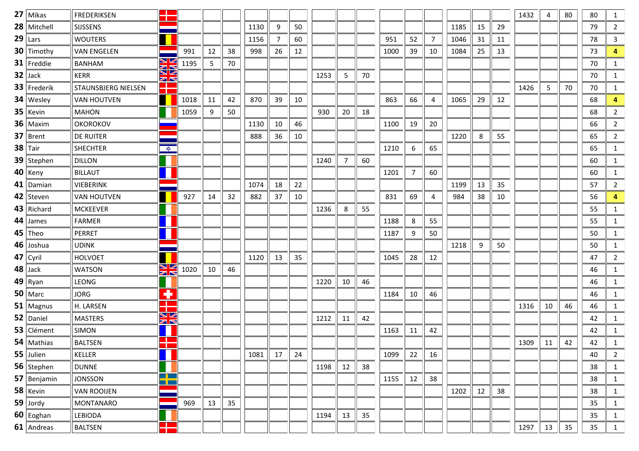| $27$ Mikas    | <b>FREDERIKSEN</b>         |                              |      |    |    |      |                |    |      |                |    |      |    |                |      |    |    | 1432 | 4  | 80 | 80 | $\mathbf{1}$   |
|---------------|----------------------------|------------------------------|------|----|----|------|----------------|----|------|----------------|----|------|----|----------------|------|----|----|------|----|----|----|----------------|
| 28   Mitchell | <b>SIJSSENS</b>            |                              |      |    |    | 1130 | 9              | 50 |      |                |    |      |    |                | 1185 | 15 | 29 |      |    |    | 79 | $\overline{2}$ |
| $29$ Lars     | <b>WOUTERS</b>             |                              |      |    |    | 1156 | $\overline{7}$ | 60 |      |                |    | 951  | 52 | $\overline{7}$ | 1046 | 31 | 11 |      |    |    | 78 | 3              |
| $30$ Timothy  | <b>VAN ENGELEN</b>         |                              | 991  | 12 | 38 | 998  | 26             | 12 |      |                |    | 1000 | 39 | 10             | 1084 | 25 | 13 |      |    |    | 73 | 4              |
| $31$ Freddie  | <b>BANHAM</b>              | N<br>A<br>N                  | 1195 | -5 | 70 |      |                |    |      |                |    |      |    |                |      |    |    |      |    |    | 70 | $\mathbf{1}$   |
| $32$ Jack     | <b>KERR</b>                | ◛<br>$\mathbb{Z} \mathbb{N}$ |      |    |    |      |                |    | 1253 | 5              | 70 |      |    |                |      |    |    |      |    |    | 70 | $\mathbf{1}$   |
| $33$ Frederik | <b>STAUNSBJERG NIELSEN</b> | x                            |      |    |    |      |                |    |      |                |    |      |    |                |      |    |    | 1426 | 5  | 70 | 70 | 1              |
| 34   Wesley   | <b>VAN HOUTVEN</b>         |                              | 1018 | 11 | 42 | 870  | 39             | 10 |      |                |    | 863  | 66 | 4              | 1065 | 29 | 12 |      |    |    | 68 | 4              |
| $35$   Kevin  | <b>MAHON</b>               |                              | 1059 | 9  | 50 |      |                |    | 930  | 20             | 18 |      |    |                |      |    |    |      |    |    | 68 | $\overline{2}$ |
| $36$ Maxim    | <b>OKOROKOV</b>            |                              |      |    |    | 1130 | 10             | 46 |      |                |    | 1100 | 19 | 20             |      |    |    |      |    |    | 66 | $\overline{2}$ |
| $37$ Brent    | <b>DE RUITER</b>           |                              |      |    |    | 888  | 36             | 10 |      |                |    |      |    |                | 1220 | 8  | 55 |      |    |    | 65 | $\overline{2}$ |
| $38$ Tair     | <b>SHECHTER</b>            | $\frac{1}{\sqrt{2}}$         |      |    |    |      |                |    |      |                |    | 1210 | 6  | 65             |      |    |    |      |    |    | 65 | $\mathbf{1}$   |
| $39$ Stephen  | <b>DILLON</b>              |                              |      |    |    |      |                |    | 1240 | $\overline{7}$ | 60 |      |    |                |      |    |    |      |    |    | 60 | $\mathbf{1}$   |
| $40$   Keny   | <b>BILLAUT</b>             |                              |      |    |    |      |                |    |      |                |    | 1201 | 7  | 60             |      |    |    |      |    |    | 60 | $\mathbf{1}$   |
| $41$ Damian   | <b>VIEBERINK</b>           |                              |      |    |    | 1074 | 18             | 22 |      |                |    |      |    |                | 1199 | 13 | 35 |      |    |    | 57 | $\overline{2}$ |
| $42$   Steven | <b>VAN HOUTVEN</b>         |                              | 927  | 14 | 32 | 882  | 37             | 10 |      |                |    | 831  | 69 | 4              | 984  | 38 | 10 |      |    |    | 56 | 4              |
| $43$ Richard  | <b>MCKEEVER</b>            |                              |      |    |    |      |                |    | 1236 | 8              | 55 |      |    |                |      |    |    |      |    |    | 55 | $\mathbf{1}$   |
| $44$ James    | FARMER                     |                              |      |    |    |      |                |    |      |                |    | 1188 | 8  | 55             |      |    |    |      |    |    | 55 | $\mathbf{1}$   |
| $45$ Theo     | PERRET                     |                              |      |    |    |      |                |    |      |                |    | 1187 | 9  | 50             |      |    |    |      |    |    | 50 | $\mathbf{1}$   |
| 46 Joshua     | <b>UDINK</b>               |                              |      |    |    |      |                |    |      |                |    |      |    |                | 1218 | 9  | 50 |      |    |    | 50 | $\mathbf{1}$   |
| $47$ Cyril    | <b>HOLVOET</b>             |                              |      |    |    | 1120 | 13             | 35 |      |                |    | 1045 | 28 | 12             |      |    |    |      |    |    | 47 | $\overline{2}$ |
| $48$ Jack     | <b>WATSON</b>              | N<br>M<br>M                  | 1020 | 10 | 46 |      |                |    |      |                |    |      |    |                |      |    |    |      |    |    | 46 | $\mathbf{1}$   |
| $49$ Ryan     | LEONG                      |                              |      |    |    |      |                |    | 1220 | 10             | 46 |      |    |                |      |    |    |      |    |    | 46 | $\mathbf{1}$   |
| $50$ Marc     | <b>JORG</b>                | ۰                            |      |    |    |      |                |    |      |                |    | 1184 | 10 | 46             |      |    |    |      |    |    | 46 | $\mathbf{1}$   |
| $51$   Magnus | H. LARSEN                  | g٨                           |      |    |    |      |                |    |      |                |    |      |    |                |      |    |    | 1316 | 10 | 46 | 46 | 1              |
| 52 Daniel     | <b>MASTERS</b>             | M<br>$\mathbb{Z} \mathbb{N}$ |      |    |    |      |                |    | 1212 | 11             | 42 |      |    |                |      |    |    |      |    |    | 42 | $\mathbf{1}$   |
| 53 Clément    | <b>SIMON</b>               |                              |      |    |    |      |                |    |      |                |    | 1163 | 11 | 42             |      |    |    |      |    |    | 42 | 1              |
| 54   Mathias  | <b>BALTSEN</b>             | ╋                            |      |    |    |      |                |    |      |                |    |      |    |                |      |    |    | 1309 | 11 | 42 | 42 | $\mathbf{1}$   |
| $55$ Julien   | KELLER                     |                              |      |    |    | 1081 | 17             | 24 |      |                |    | 1099 | 22 | 16             |      |    |    |      |    |    | 40 | $\overline{2}$ |
| 56 Stephen    | <b>DUNNE</b>               |                              |      |    |    |      |                |    | 1198 | 12             | 38 |      |    |                |      |    |    |      |    |    | 38 | $\mathbf{1}$   |
| 57 Benjamin   | <b>JONSSON</b>             | $\Box$ $\Box$<br>T F         |      |    |    |      |                |    |      |                |    | 1155 | 12 | 38             |      |    |    |      |    |    | 38 | $\mathbf{1}$   |
| $58$ Kevin    | <b>VAN ROOIJEN</b>         |                              |      |    |    |      |                |    |      |                |    |      |    |                | 1202 | 12 | 38 |      |    |    | 38 | $\mathbf{1}$   |
| $59$ Jordy    | <b>MONTANARO</b>           |                              | 969  | 13 | 35 |      |                |    |      |                |    |      |    |                |      |    |    |      |    |    | 35 | $\mathbf{1}$   |
| $60$ Eoghan   | <b>LEBIODA</b>             |                              |      |    |    |      |                |    | 1194 | 13             | 35 |      |    |                |      |    |    |      |    |    | 35 | $\mathbf{1}$   |
| $61$ Andreas  | <b>BALTSEN</b>             | ┽                            |      |    |    |      |                |    |      |                |    |      |    |                |      |    |    | 1297 | 13 | 35 | 35 | $\mathbf{1}$   |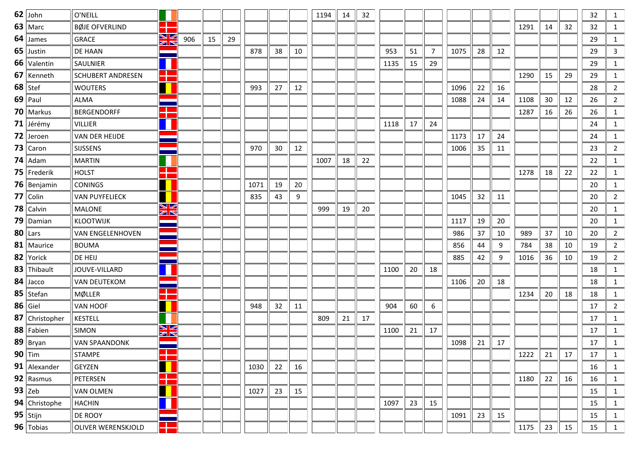| $62$ John      | O'NEILL                  |             |     |    |    |      |    |    | 1194 | 14 | 32 |      |    |             |      |    |    |      |    |    | 32 | 1              |
|----------------|--------------------------|-------------|-----|----|----|------|----|----|------|----|----|------|----|-------------|------|----|----|------|----|----|----|----------------|
| $63$   Marc    | <b>BØJE OFVERLIND</b>    | 27          |     |    |    |      |    |    |      |    |    |      |    |             |      |    |    | 1291 | 14 | 32 | 32 | $\mathbf{1}$   |
| 64 James       | <b>GRACE</b>             | N K<br>7 K  | 906 | 15 | 29 |      |    |    |      |    |    |      |    |             |      |    |    |      |    |    | 29 | $\mathbf{1}$   |
| $65$ Justin    | DE HAAN                  |             |     |    |    | 878  | 38 | 10 |      |    |    | 953  | 51 | $7^{\circ}$ | 1075 | 28 | 12 |      |    |    | 29 | 3              |
| 66 Valentin    | <b>SAULNIER</b>          | Ш           |     |    |    |      |    |    |      |    |    | 1135 | 15 | 29          |      |    |    |      |    |    | 29 | 1              |
| $67$ Kenneth   | <b>SCHUBERT ANDRESEN</b> | ╉           |     |    |    |      |    |    |      |    |    |      |    |             |      |    |    | 1290 | 15 | 29 | 29 | $\mathbf{1}$   |
| $68$   Stef    | <b>WOUTERS</b>           | ш           |     |    |    | 993  | 27 | 12 |      |    |    |      |    |             | 1096 | 22 | 16 |      |    |    | 28 | $\overline{2}$ |
| $69$   Paul    | ALMA                     |             |     |    |    |      |    |    |      |    |    |      |    |             | 1088 | 24 | 14 | 1108 | 30 | 12 | 26 | $\overline{2}$ |
| $70$ Markus    | <b>BERGENDORFF</b>       | - 11<br>тг  |     |    |    |      |    |    |      |    |    |      |    |             |      |    |    | 1287 | 16 | 26 | 26 | $\mathbf{1}$   |
| $71$ Jérémy    | <b>VILLIER</b>           |             |     |    |    |      |    |    |      |    |    | 1118 | 17 | 24          |      |    |    |      |    |    | 24 | $\mathbf{1}$   |
| $72$ Jeroen    | VAN DER HEIJDE           |             |     |    |    |      |    |    |      |    |    |      |    |             | 1173 | 17 | 24 |      |    |    | 24 | $\mathbf{1}$   |
| $73$ Caron     | SIJSSENS                 |             |     |    |    | 970  | 30 | 12 |      |    |    |      |    |             | 1006 | 35 | 11 |      |    |    | 23 | $\overline{2}$ |
| $74$ Adam      | <b>MARTIN</b>            |             |     |    |    |      |    |    | 1007 | 18 | 22 |      |    |             |      |    |    |      |    |    | 22 | $\mathbf{1}$   |
| $75$ Frederik  | <b>HOLST</b>             | ۲Ŧ.         |     |    |    |      |    |    |      |    |    |      |    |             |      |    |    | 1278 | 18 | 22 | 22 | $\mathbf{1}$   |
| 76   Benjamin  | <b>CONINGS</b>           |             |     |    |    | 1071 | 19 | 20 |      |    |    |      |    |             |      |    |    |      |    |    | 20 | $\mathbf{1}$   |
| $77$ Colin     | <b>VAN PUYFELIECK</b>    |             |     |    |    | 835  | 43 | 9  |      |    |    |      |    |             | 1045 | 32 | 11 |      |    |    | 20 | $\overline{2}$ |
| $78$ Calvin    | <b>MALONE</b>            | N K<br>7 N  |     |    |    |      |    |    | 999  | 19 | 20 |      |    |             |      |    |    |      |    |    | 20 | $\mathbf{1}$   |
| 79   Damian    | <b>KLOOTWIJK</b>         |             |     |    |    |      |    |    |      |    |    |      |    |             | 1117 | 19 | 20 |      |    |    | 20 | $\mathbf{1}$   |
| $80$ Lars      | VAN ENGELENHOVEN         |             |     |    |    |      |    |    |      |    |    |      |    |             | 986  | 37 | 10 | 989  | 37 | 10 | 20 | $\overline{2}$ |
| 81   Maurice   | <b>BOUMA</b>             |             |     |    |    |      |    |    |      |    |    |      |    |             | 856  | 44 | 9  | 784  | 38 | 10 | 19 | $\overline{2}$ |
| 82 Yorick      | DE HEIJ                  |             |     |    |    |      |    |    |      |    |    |      |    |             | 885  | 42 | 9  | 1016 | 36 | 10 | 19 | $\overline{2}$ |
| 83 Thibault    | JOUVE-VILLARD            |             |     |    |    |      |    |    |      |    |    | 1100 | 20 | 18          |      |    |    |      |    |    | 18 | $\mathbf{1}$   |
| $84$ Jacco     | <b>VAN DEUTEKOM</b>      |             |     |    |    |      |    |    |      |    |    |      |    |             | 1106 | 20 | 18 |      |    |    | 18 | 1              |
| $85$ Stefan    | <b>MØLLER</b>            | T           |     |    |    |      |    |    |      |    |    |      |    |             |      |    |    | 1234 | 20 | 18 | 18 | $\mathbf{1}$   |
| $86$ Giel      | VAN HOOF                 |             |     |    |    | 948  | 32 | 11 |      |    |    | 904  | 60 | 6           |      |    |    |      |    |    | 17 | $\overline{2}$ |
| 87 Christopher | KESTELL                  |             |     |    |    |      |    |    | 809  | 21 | 17 |      |    |             |      |    |    |      |    |    | 17 | $\mathbf{1}$   |
| 88 Fabien      | <b>SIMON</b>             | N K<br>A K  |     |    |    |      |    |    |      |    |    | 1100 | 21 | 17          |      |    |    |      |    |    | 17 | $\mathbf{1}$   |
| 89   Bryan     | <b>VAN SPAANDONK</b>     |             |     |    |    |      |    |    |      |    |    |      |    |             | 1098 | 21 | 17 |      |    |    | 17 | $\mathbf{1}$   |
| 90 Tim         | <b>STAMPE</b>            | x           |     |    |    |      |    |    |      |    |    |      |    |             |      |    |    | 1222 | 21 | 17 | 17 | 1              |
| $91$ Alexander | <b>GEYZEN</b>            |             |     |    |    | 1030 | 22 | 16 |      |    |    |      |    |             |      |    |    |      |    |    | 16 | 1              |
| 92 Rasmus      | PETERSEN                 | $\Box$<br>п |     |    |    |      |    |    |      |    |    |      |    |             |      |    |    | 1180 | 22 | 16 | 16 | 1              |
| $93$ Zeb       | <b>VAN OLMEN</b>         |             |     |    |    | 1027 | 23 | 15 |      |    |    |      |    |             |      |    |    |      |    |    | 15 | 1              |
| 94 Christophe  | <b>HACHIN</b>            |             |     |    |    |      |    |    |      |    |    | 1097 | 23 | 15          |      |    |    |      |    |    | 15 | $\mathbf{1}$   |
| 95 Stijn       | DE ROOY                  |             |     |    |    |      |    |    |      |    |    |      |    |             | 1091 | 23 | 15 |      |    |    | 15 | $\mathbf{1}$   |
| $96$ Tobias    | OLIVER WERENSKJOLD       | ٢I          |     |    |    |      |    |    |      |    |    |      |    |             |      |    |    | 1175 | 23 | 15 | 15 | $\mathbf{1}$   |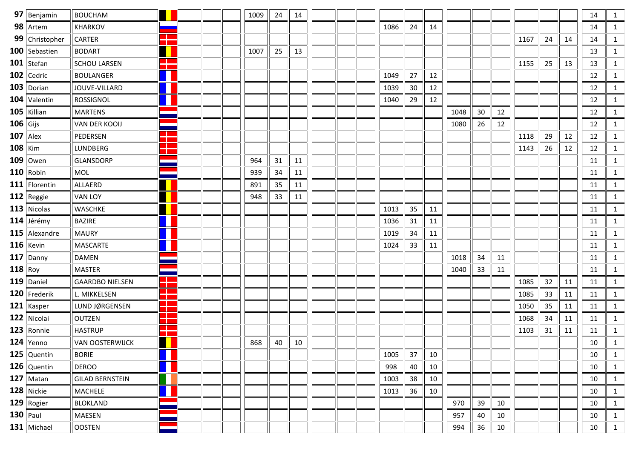|            | 97   Benjamin   | <b>BOUCHAM</b>         |                                 |  | 1009 | 24 | 14 |  |      |    |    |      |    |    |      |    |    | 14 | 1            |
|------------|-----------------|------------------------|---------------------------------|--|------|----|----|--|------|----|----|------|----|----|------|----|----|----|--------------|
|            | $98$   Artem    | <b>KHARKOV</b>         |                                 |  |      |    |    |  | 1086 | 24 | 14 |      |    |    |      |    |    | 14 | $\mathbf{1}$ |
|            | 99 Christopher  | <b>CARTER</b>          | a l<br>т                        |  |      |    |    |  |      |    |    |      |    |    | 1167 | 24 | 14 | 14 | $\mathbf{1}$ |
|            | $100$ Sebastien | <b>BODART</b>          |                                 |  | 1007 | 25 | 13 |  |      |    |    |      |    |    |      |    |    | 13 | $\mathbf{1}$ |
|            | $101$ Stefan    | <b>SCHOU LARSEN</b>    | <b>College</b><br>٠.            |  |      |    |    |  |      |    |    |      |    |    | 1155 | 25 | 13 | 13 | $\mathbf{1}$ |
|            | $102$ Cedric    | <b>BOULANGER</b>       | H                               |  |      |    |    |  | 1049 | 27 | 12 |      |    |    |      |    |    | 12 | $\mathbf{1}$ |
|            | $103$ Dorian    | JOUVE-VILLARD          | H                               |  |      |    |    |  | 1039 | 30 | 12 |      |    |    |      |    |    | 12 | $\mathbf{1}$ |
|            | $104$ Valentin  | <b>ROSSIGNOL</b>       | H                               |  |      |    |    |  | 1040 | 29 | 12 |      |    |    |      |    |    | 12 | $\mathbf{1}$ |
|            | $105$ Killian   | <b>MARTENS</b>         |                                 |  |      |    |    |  |      |    |    | 1048 | 30 | 12 |      |    |    | 12 | $\mathbf{1}$ |
| $106$ Gijs |                 | VAN DER KOOIJ          |                                 |  |      |    |    |  |      |    |    | 1080 | 26 | 12 |      |    |    | 12 | $\mathbf{1}$ |
|            | $107$ Alex      | PEDERSEN               | <b>COLLEGE</b><br>a k           |  |      |    |    |  |      |    |    |      |    |    | 1118 | 29 | 12 | 12 | $\mathbf{1}$ |
| $108$ Kim  |                 | LUNDBERG               | a po<br>T                       |  |      |    |    |  |      |    |    |      |    |    | 1143 | 26 | 12 | 12 | 1            |
|            | $109$ Owen      | <b>GLANSDORP</b>       |                                 |  | 964  | 31 | 11 |  |      |    |    |      |    |    |      |    |    | 11 | $\mathbf{1}$ |
|            | $110$ Robin     | <b>MOL</b>             |                                 |  | 939  | 34 | 11 |  |      |    |    |      |    |    |      |    |    | 11 | 1            |
|            | 111 Florentin   | ALLAERD                |                                 |  | 891  | 35 | 11 |  |      |    |    |      |    |    |      |    |    | 11 | 1            |
|            | $112$ Reggie    | <b>VAN LOY</b>         |                                 |  | 948  | 33 | 11 |  |      |    |    |      |    |    |      |    |    | 11 | $\mathbf{1}$ |
|            | $113$ Nicolas   | WASCHKE                |                                 |  |      |    |    |  | 1013 | 35 | 11 |      |    |    |      |    |    | 11 | 1            |
|            | 114 Jérémy      | <b>BAZIRE</b>          |                                 |  |      |    |    |  | 1036 | 31 | 11 |      |    |    |      |    |    | 11 | 1            |
|            | $115$ Alexandre | <b>MAURY</b>           | Н                               |  |      |    |    |  | 1019 | 34 | 11 |      |    |    |      |    |    | 11 | $\mathbf{1}$ |
|            | $116$ Kevin     | <b>MASCARTE</b>        | H                               |  |      |    |    |  | 1024 | 33 | 11 |      |    |    |      |    |    | 11 | 1            |
|            | $117$ Danny     | DAMEN                  |                                 |  |      |    |    |  |      |    |    | 1018 | 34 | 11 |      |    |    | 11 | 1            |
| 118 Roy    |                 | <b>MASTER</b>          |                                 |  |      |    |    |  |      |    |    | 1040 | 33 | 11 |      |    |    | 11 | $\mathbf{1}$ |
|            | $119$ Daniel    | <b>GAARDBO NIELSEN</b> | a ka<br>п.                      |  |      |    |    |  |      |    |    |      |    |    | 1085 | 32 | 11 | 11 | $\mathbf{1}$ |
|            | $120$ Frederik  | L. MIKKELSEN           | a l<br>٠.                       |  |      |    |    |  |      |    |    |      |    |    | 1085 | 33 | 11 | 11 | 1            |
|            | $121$ Kasper    | LUND JØRGENSEN         | $\mathbb{R}^{\mathbb{Z}}$<br>a. |  |      |    |    |  |      |    |    |      |    |    | 1050 | 35 | 11 | 11 | $\mathbf{1}$ |
|            | 122 Nicolai     | <b>OUTZEN</b>          | an Ba<br>m.                     |  |      |    |    |  |      |    |    |      |    |    | 1068 | 34 | 11 | 11 | $\mathbf{1}$ |
|            | $123$ Ronnie    | <b>HASTRUP</b>         | ╉                               |  |      |    |    |  |      |    |    |      |    |    | 1103 | 31 | 11 | 11 | 1            |
|            | $124$ Yenno     | <b>VAN OOSTERWIJCK</b> |                                 |  | 868  | 40 | 10 |  |      |    |    |      |    |    |      |    |    | 10 | $\mathbf{1}$ |
|            | 125 Quentin     | <b>BORIE</b>           |                                 |  |      |    |    |  | 1005 | 37 | 10 |      |    |    |      |    |    | 10 | 1            |
|            | 126 Quentin     | <b>DEROO</b>           | L                               |  |      |    |    |  | 998  | 40 | 10 |      |    |    |      |    |    | 10 | 1            |
|            | $127$ Matan     | <b>GILAD BERNSTEIN</b> |                                 |  |      |    |    |  | 1003 | 38 | 10 |      |    |    |      |    |    | 10 | 1            |
|            | $128$ Nickie    | MACHELE                | Н                               |  |      |    |    |  | 1013 | 36 | 10 |      |    |    |      |    |    | 10 | 1            |
|            | $129$ Rogier    | BLOKLAND               |                                 |  |      |    |    |  |      |    |    | 970  | 39 | 10 |      |    |    | 10 | 1            |
| $130$ Paul |                 | MAESEN                 |                                 |  |      |    |    |  |      |    |    | 957  | 40 | 10 |      |    |    | 10 | $\mathbf{1}$ |
|            | $131$ Michael   | <b>OOSTEN</b>          |                                 |  |      |    |    |  |      |    |    | 994  | 36 | 10 |      |    |    | 10 | $\mathbf{1}$ |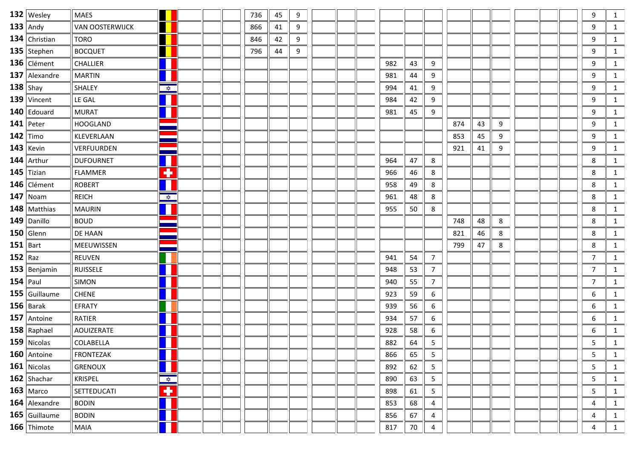|            | $132$   Wesley  | <b>MAES</b>            |                          |  | 736 | 45 | 9 |  |     |    |                |     |    |   |  | 9              | $\mathbf{1}$ |
|------------|-----------------|------------------------|--------------------------|--|-----|----|---|--|-----|----|----------------|-----|----|---|--|----------------|--------------|
|            | $133$ Andy      | <b>VAN OOSTERWIJCK</b> |                          |  | 866 | 41 | 9 |  |     |    |                |     |    |   |  | 9              | $\mathbf{1}$ |
|            | 134 Christian   | <b>TORO</b>            |                          |  | 846 | 42 | 9 |  |     |    |                |     |    |   |  | 9              | $\mathbf{1}$ |
|            | $135$ Stephen   | <b>BOCQUET</b>         |                          |  | 796 | 44 | 9 |  |     |    |                |     |    |   |  | 9              | $\mathbf{1}$ |
|            | 136 Clément     | <b>CHALLIER</b>        | Ш                        |  |     |    |   |  | 982 | 43 | 9              |     |    |   |  | 9              | $\mathbf{1}$ |
|            | 137 Alexandre   | MARTIN                 | Н                        |  |     |    |   |  | 981 | 44 | 9              |     |    |   |  | 9              | $\mathbf{1}$ |
|            | $138$ Shay      | SHALEY                 | $\Rightarrow$            |  |     |    |   |  | 994 | 41 | 9              |     |    |   |  | 9              | $\mathbf{1}$ |
|            | $139$ Vincent   | LE GAL                 | H                        |  |     |    |   |  | 984 | 42 | 9              |     |    |   |  | 9              | $\mathbf{1}$ |
|            | $140$ Edouard   | MURAT                  | Н                        |  |     |    |   |  | 981 | 45 | 9              |     |    |   |  | 9              | 1            |
|            | $141$ Peter     | <b>HOOGLAND</b>        |                          |  |     |    |   |  |     |    |                | 874 | 43 | 9 |  | 9              | $\mathbf{1}$ |
|            | $142$ Timo      | KLEVERLAAN             |                          |  |     |    |   |  |     |    |                | 853 | 45 | 9 |  | 9              | $\mathbf{1}$ |
|            | $143$ Kevin     | VERFUURDEN             |                          |  |     |    |   |  |     |    |                | 921 | 41 | 9 |  | 9              | $\mathbf{1}$ |
|            | $144$ Arthur    | <b>DUFOURNET</b>       |                          |  |     |    |   |  | 964 | 47 | 8              |     |    |   |  | 8              | $\mathbf{1}$ |
|            | $145$ Tizian    | <b>FLAMMER</b>         | ٠                        |  |     |    |   |  | 966 | 46 | 8              |     |    |   |  | 8              | 1            |
|            | $146$ Clément   | <b>ROBERT</b>          | П                        |  |     |    |   |  | 958 | 49 | 8              |     |    |   |  | 8              | $\mathbf{1}$ |
|            | $147$ Noam      | <b>REICH</b>           | $\frac{1}{\sqrt{2}}$     |  |     |    |   |  | 961 | 48 | 8              |     |    |   |  | 8              | $\mathbf{1}$ |
|            | 148   Matthias  | <b>MAURIN</b>          | Н                        |  |     |    |   |  | 955 | 50 | 8              |     |    |   |  | 8              | 1            |
|            | 149 Danillo     | <b>BOUD</b>            |                          |  |     |    |   |  |     |    |                | 748 | 48 | 8 |  | 8              | $\mathbf{1}$ |
|            | $150$ Glenn     | DE HAAN                |                          |  |     |    |   |  |     |    |                | 821 | 46 | 8 |  | 8              | $\mathbf{1}$ |
| $151$ Bart |                 | MEEUWISSEN             |                          |  |     |    |   |  |     |    |                | 799 | 47 | 8 |  | 8              | $\mathbf{1}$ |
| $152$ Raz  |                 | <b>REUVEN</b>          |                          |  |     |    |   |  | 941 | 54 | $\overline{7}$ |     |    |   |  | $\overline{7}$ | $\mathbf{1}$ |
|            | $153$ Benjamin  | <b>RUISSELE</b>        | Н                        |  |     |    |   |  | 948 | 53 | $\overline{7}$ |     |    |   |  | $\overline{7}$ | $\mathbf{1}$ |
| $154$ Paul |                 | <b>SIMON</b>           |                          |  |     |    |   |  | 940 | 55 | $\overline{7}$ |     |    |   |  | $\overline{7}$ | $\mathbf{1}$ |
|            | 155 Guillaume   | <b>CHENE</b>           | П                        |  |     |    |   |  | 923 | 59 | 6              |     |    |   |  | 6              | 1            |
|            | $156$ Barak     | <b>EFRATY</b>          |                          |  |     |    |   |  | 939 | 56 | 6              |     |    |   |  | 6              | $\mathbf{1}$ |
|            | 157 Antoine     | RATIER                 |                          |  |     |    |   |  | 934 | 57 | 6              |     |    |   |  | 6              | $\mathbf{1}$ |
|            | $158$ Raphael   | AOUIZERATE             |                          |  |     |    |   |  | 928 | 58 | 6              |     |    |   |  | 6              | 1            |
|            | $159$ Nicolas   | <b>COLABELLA</b>       |                          |  |     |    |   |  | 882 | 64 | 5              |     |    |   |  | 5              | $\mathbf{1}$ |
|            | 160 Antoine     | <b>FRONTEZAK</b>       | Ш                        |  |     |    |   |  | 866 | 65 | 5              |     |    |   |  | 5              | 1            |
|            | $161$ Nicolas   | <b>GRENOUX</b>         |                          |  |     |    |   |  | 892 | 62 | 5 <sub>1</sub> |     |    |   |  | 5              | 1            |
|            | $162$ Shachar   | KRISPEL                | $\overline{\phantom{0}}$ |  |     |    |   |  | 890 | 63 | 5              |     |    |   |  | 5              | $\mathbf{1}$ |
|            | $163$ Marco     | SETTEDUCATI            | B                        |  |     |    |   |  | 898 | 61 | 5 <sub>5</sub> |     |    |   |  | 5              | 1            |
|            | $164$ Alexandre | <b>BODIN</b>           | П                        |  |     |    |   |  | 853 | 68 | $\overline{4}$ |     |    |   |  | 4              | $\mathbf{1}$ |
|            | 165 Guillaume   | <b>BODIN</b>           | ╻                        |  |     |    |   |  | 856 | 67 | 4              |     |    |   |  | 4              | $\mathbf{1}$ |
|            | $166$ Thimote   | <b>MAIA</b>            |                          |  |     |    |   |  | 817 | 70 | 4              |     |    |   |  | 4              | $\mathbf{1}$ |